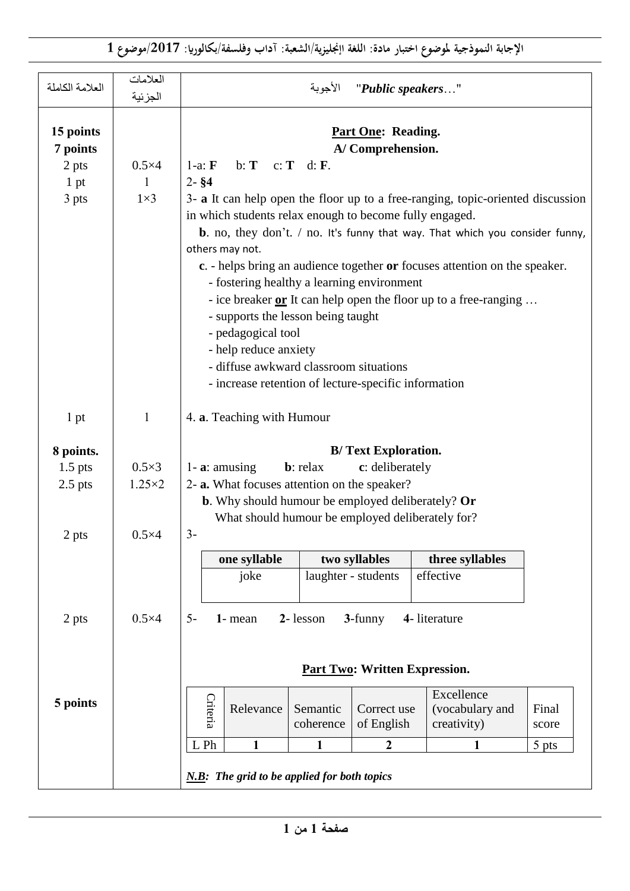**اإلجابة النموذجية ملوضوع اختبار مادة: اللغة اإجنليزية/الشعبة: آداب وفلسفة/بكالوراي: /7102موضوع 0**

| العلامة الكاملة                                 | العلامات<br>الجزئية             | الأجوبة<br>"Public speakers"                                                                                                                                                                                                                                                                                                                                                                                                                                                                                                                                                                                                                                                                                                                                        |  |  |  |  |  |  |
|-------------------------------------------------|---------------------------------|---------------------------------------------------------------------------------------------------------------------------------------------------------------------------------------------------------------------------------------------------------------------------------------------------------------------------------------------------------------------------------------------------------------------------------------------------------------------------------------------------------------------------------------------------------------------------------------------------------------------------------------------------------------------------------------------------------------------------------------------------------------------|--|--|--|--|--|--|
| 15 points<br>7 points<br>2 pts<br>1 pt<br>3 pts | $0.5\times4$<br>1<br>$1\times3$ | <b>Part One: Reading.</b><br>A/Comprehension.<br>$1-a: \mathbf{F}$<br>b: $T \quad c: T \quad d: F.$<br>$2 - $4$<br>3- a It can help open the floor up to a free-ranging, topic-oriented discussion<br>in which students relax enough to become fully engaged.<br><b>b</b> . no, they don't. $/$ no. It's funny that way. That which you consider funny,<br>others may not.<br>c. - helps bring an audience together or focuses attention on the speaker.<br>- fostering healthy a learning environment<br>- ice breaker $or$ It can help open the floor up to a free-ranging<br>- supports the lesson being taught<br>- pedagogical tool<br>- help reduce anxiety<br>- diffuse awkward classroom situations<br>- increase retention of lecture-specific information |  |  |  |  |  |  |
| 1 pt                                            | $\mathbf{1}$                    | 4. a. Teaching with Humour                                                                                                                                                                                                                                                                                                                                                                                                                                                                                                                                                                                                                                                                                                                                          |  |  |  |  |  |  |
| 8 points.<br>$1.5$ pts<br>$2.5$ pts             | $0.5\times3$<br>$1.25 \times 2$ | <b>B/Text Exploration.</b><br><b>b</b> : relax<br>1 - $\mathbf{a}$ : amusing<br>c: deliberately<br>2- a. What focuses attention on the speaker?<br><b>b.</b> Why should humour be employed deliberately? Or<br>What should humour be employed deliberately for?                                                                                                                                                                                                                                                                                                                                                                                                                                                                                                     |  |  |  |  |  |  |
| 2 pts<br>2 pts                                  | $0.5\times4$<br>$0.5\times4$    | $3-$<br>one syllable<br>two syllables<br>three syllables<br>effective<br>laughter - students<br>joke<br>2-lesson<br>3-funny<br>$5-$<br>1- mean<br>4- literature                                                                                                                                                                                                                                                                                                                                                                                                                                                                                                                                                                                                     |  |  |  |  |  |  |
|                                                 |                                 | Part Two: Written Expression.                                                                                                                                                                                                                                                                                                                                                                                                                                                                                                                                                                                                                                                                                                                                       |  |  |  |  |  |  |
| 5 points                                        |                                 | Excellence<br>Criteria<br>(vocabulary and<br>Relevance<br>Semantic<br>Correct use<br>Final<br>coherence<br>of English<br>creativity)<br>score<br>L Ph<br>$\mathbf{1}$<br>1<br>$\boldsymbol{2}$<br>5 pts<br>1                                                                                                                                                                                                                                                                                                                                                                                                                                                                                                                                                        |  |  |  |  |  |  |
|                                                 |                                 | $N.B$ : The grid to be applied for both topics                                                                                                                                                                                                                                                                                                                                                                                                                                                                                                                                                                                                                                                                                                                      |  |  |  |  |  |  |